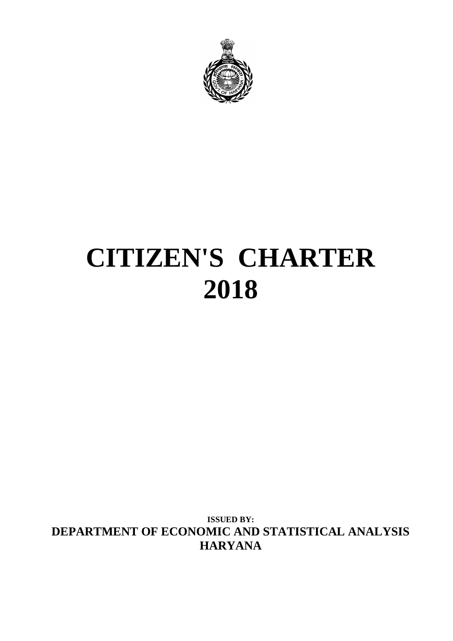

# **CITIZEN'S CHARTER 2018**

**ISSUED BY: DEPARTMENT OF ECONOMIC AND STATISTICAL ANALYSIS HARYANA**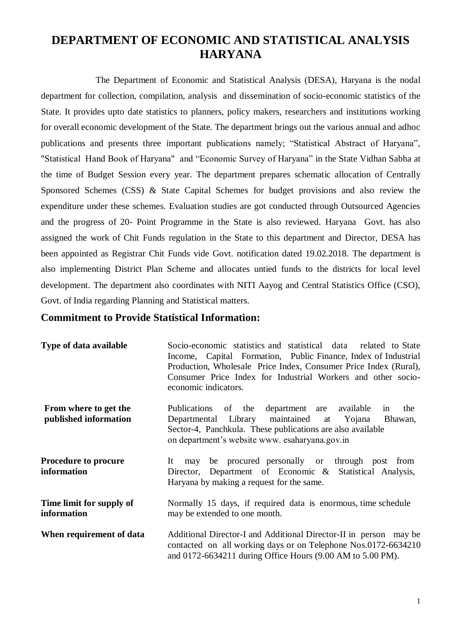# **DEPARTMENT OF ECONOMIC AND STATISTICAL ANALYSIS HARYANA**

The Department of Economic and Statistical Analysis (DESA), Haryana is the nodal department for collection, compilation, analysis and dissemination of socio-economic statistics of the State. It provides upto date statistics to planners, policy makers, researchers and institutions working for overall economic development of the State. The department brings out the various annual and adhoc publications and presents three important publications namely; "Statistical Abstract of Haryana", "Statistical Hand Book of Haryana" and "Economic Survey of Haryana" in the State Vidhan Sabha at the time of Budget Session every year. The department prepares schematic allocation of Centrally Sponsored Schemes (CSS) & State Capital Schemes for budget provisions and also review the expenditure under these schemes. Evaluation studies are got conducted through Outsourced Agencies and the progress of 20- Point Programme in the State is also reviewed. Haryana Govt. has also assigned the work of Chit Funds regulation in the State to this department and Director, DESA has been appointed as Registrar Chit Funds vide Govt. notification dated 19.02.2018. The department is also implementing District Plan Scheme and allocates untied funds to the districts for local level development. The department also coordinates with NITI Aayog and Central Statistics Office (CSO), Govt. of India regarding Planning and Statistical matters.

#### **Commitment to Provide Statistical Information:**

| Type of data available                         | Socio-economic statistics and statistical data related to State<br>Income, Capital Formation, Public Finance, Index of Industrial<br>Production, Wholesale Price Index, Consumer Price Index (Rural),<br>Consumer Price Index for Industrial Workers and other socio-<br>economic indicators. |  |  |  |
|------------------------------------------------|-----------------------------------------------------------------------------------------------------------------------------------------------------------------------------------------------------------------------------------------------------------------------------------------------|--|--|--|
| From where to get the<br>published information | department are available<br>Publications of the<br>the<br>in<br>Departmental Library maintained at<br>Yojana<br>Bhawan,<br>Sector-4, Panchkula. These publications are also available<br>on department's website www. esaharyana.gov.in                                                       |  |  |  |
| <b>Procedure to procure</b><br>information     | be procured personally or through post from<br>It<br>may<br>Director, Department of Economic & Statistical Analysis,<br>Haryana by making a request for the same.                                                                                                                             |  |  |  |
| Time limit for supply of<br>information        | Normally 15 days, if required data is enormous, time schedule<br>may be extended to one month.                                                                                                                                                                                                |  |  |  |
| When requirement of data                       | Additional Director-I and Additional Director-II in person may be<br>contacted on all working days or on Telephone Nos.0172-6634210<br>and 0172-6634211 during Office Hours (9.00 AM to 5.00 PM).                                                                                             |  |  |  |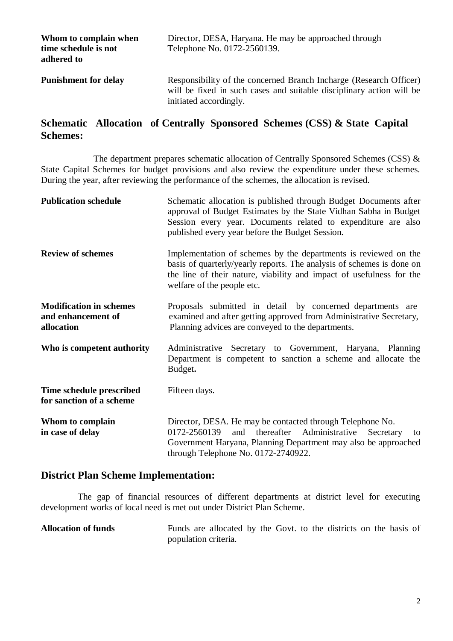| Whom to complain when<br>time schedule is not<br>adhered to | Director, DESA, Haryana. He may be approached through<br>Telephone No. 0172-2560139.                                                                                 |
|-------------------------------------------------------------|----------------------------------------------------------------------------------------------------------------------------------------------------------------------|
| <b>Punishment for delay</b>                                 | Responsibility of the concerned Branch Incharge (Research Officer)<br>will be fixed in such cases and suitable disciplinary action will be<br>initiated accordingly. |

## **Schematic Allocation of Centrally Sponsored Schemes (CSS) & State Capital Schemes:**

The department prepares schematic allocation of Centrally Sponsored Schemes (CSS) & State Capital Schemes for budget provisions and also review the expenditure under these schemes. During the year, after reviewing the performance of the schemes, the allocation is revised.

| <b>Publication schedule</b>                                        | Schematic allocation is published through Budget Documents after<br>approval of Budget Estimates by the State Vidhan Sabha in Budget<br>Session every year. Documents related to expenditure are also<br>published every year before the Budget Session. |  |  |  |
|--------------------------------------------------------------------|----------------------------------------------------------------------------------------------------------------------------------------------------------------------------------------------------------------------------------------------------------|--|--|--|
| <b>Review of schemes</b>                                           | Implementation of schemes by the departments is reviewed on the<br>basis of quarterly/yearly reports. The analysis of schemes is done on<br>the line of their nature, viability and impact of usefulness for the<br>welfare of the people etc.           |  |  |  |
| <b>Modification in schemes</b><br>and enhancement of<br>allocation | Proposals submitted in detail by concerned departments are<br>examined and after getting approved from Administrative Secretary,<br>Planning advices are conveyed to the departments.                                                                    |  |  |  |
| Who is competent authority                                         | Administrative Secretary to Government, Haryana, Planning<br>Department is competent to sanction a scheme and allocate the<br>Budget.                                                                                                                    |  |  |  |
| Time schedule prescribed<br>for sanction of a scheme               | Fifteen days.                                                                                                                                                                                                                                            |  |  |  |
| Whom to complain<br>in case of delay                               | Director, DESA. He may be contacted through Telephone No.<br>and thereafter Administrative<br>0172-2560139<br>Secretary<br>to<br>Government Haryana, Planning Department may also be approached<br>through Telephone No. 0172-2740922.                   |  |  |  |

### **District Plan Scheme Implementation:**

The gap of financial resources of different departments at district level for executing development works of local need is met out under District Plan Scheme.

Allocation of funds Funds are allocated by the Govt. to the districts on the basis of population criteria.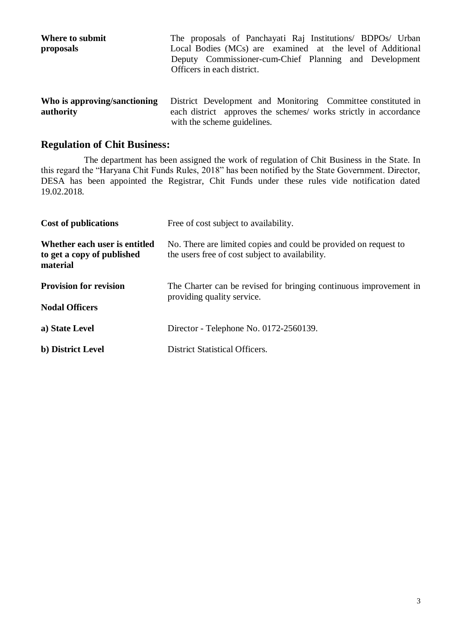| Where to submit<br>proposals | The proposals of Panchayati Raj Institutions/ BDPOs/ Urban<br>Local Bodies (MCs) are examined at the level of Additional<br>Deputy Commissioner-cum-Chief Planning and Development<br>Officers in each district. |
|------------------------------|------------------------------------------------------------------------------------------------------------------------------------------------------------------------------------------------------------------|
| Who is approving/sanctioning | District Development and Monitoring Committee constituted in                                                                                                                                                     |
| authority                    | each district approves the schemes/ works strictly in accordance                                                                                                                                                 |

with the scheme guidelines.

#### **Regulation of Chit Business:**

The department has been assigned the work of regulation of Chit Business in the State. In this regard the "Haryana Chit Funds Rules, 2018" has been notified by the State Government. Director, DESA has been appointed the Registrar, Chit Funds under these rules vide notification dated 19.02.2018.

| <b>Cost of publications</b>                                             | Free of cost subject to availability.                                                                               |  |
|-------------------------------------------------------------------------|---------------------------------------------------------------------------------------------------------------------|--|
| Whether each user is entitled<br>to get a copy of published<br>material | No. There are limited copies and could be provided on request to<br>the users free of cost subject to availability. |  |
| <b>Provision for revision</b>                                           | The Charter can be revised for bringing continuous improvement in<br>providing quality service.                     |  |
| <b>Nodal Officers</b>                                                   |                                                                                                                     |  |
| a) State Level                                                          | Director - Telephone No. 0172-2560139.                                                                              |  |
| b) District Level                                                       | District Statistical Officers.                                                                                      |  |